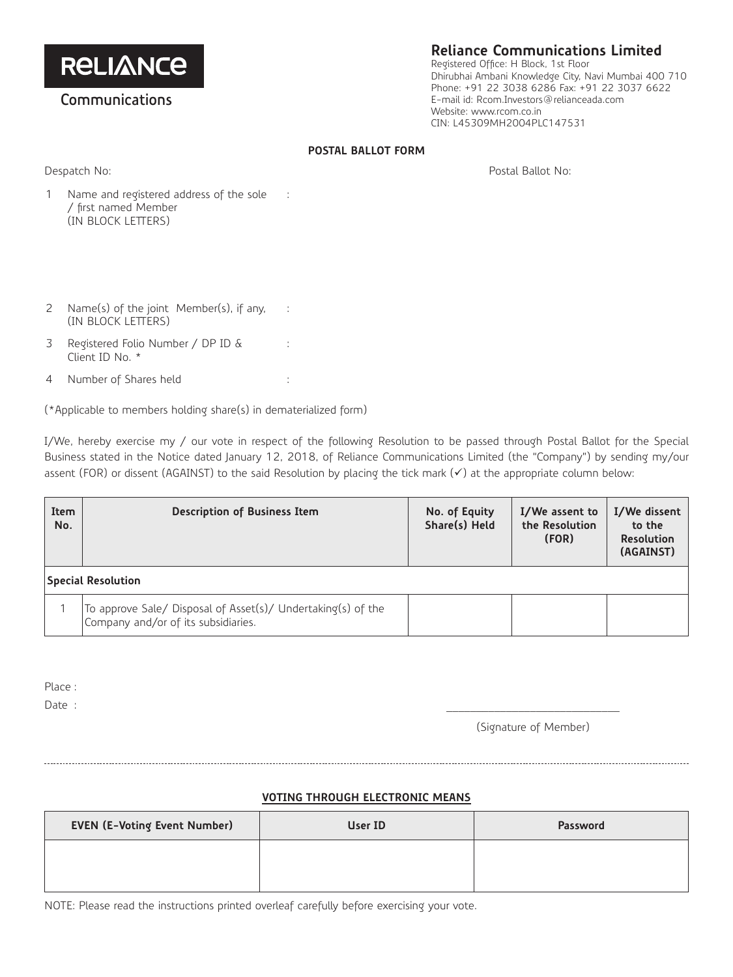**RELIANCE** 

## **Communications**

# **Reliance Communications Limited**

Registered Office: H Block, 1st Floor Dhirubhai Ambani Knowledge City, Navi Mumbai 400 710 Phone: +91 22 3038 6286 Fax: +91 22 3037 6622 E-mail id: Rcom.Investors@relianceada.com Website: www.rcom.co.in CIN: L45309MH2004PLC147531

### **POSTAL BALLOT FORM**

Despatch No: Postal Ballot No:

- 1 Name and registered address of the sole / first named Member (IN BLOCK LETTERS) :
- 2 Name(s) of the joint Member(s), if any, (IN BLOCK LETTERS) :
- 3 Registered Folio Number / DP ID & Client ID No. \*
- 4 Number of Shares held :

(\*Applicable to members holding share(s) in dematerialized form)

:

I/We, hereby exercise my / our vote in respect of the following Resolution to be passed through Postal Ballot for the Special Business stated in the Notice dated January 12, 2018, of Reliance Communications Limited (the "Company") by sending my/our assent (FOR) or dissent (AGAINST) to the said Resolution by placing the tick mark  $(\checkmark)$  at the appropriate column below:

| Item<br>No.               | <b>Description of Business Item</b>                                                                 | No. of Equity<br>Share(s) Held | I/We assent to<br>the Resolution<br>(FOR) | I/We dissent<br>to the<br><b>Resolution</b><br>(AGAINST) |  |
|---------------------------|-----------------------------------------------------------------------------------------------------|--------------------------------|-------------------------------------------|----------------------------------------------------------|--|
| <b>Special Resolution</b> |                                                                                                     |                                |                                           |                                                          |  |
|                           | To approve Sale/ Disposal of Asset(s)/ Undertaking(s) of the<br>Company and/or of its subsidiaries. |                                |                                           |                                                          |  |

Place :

Date : \_\_\_\_\_\_\_\_\_\_\_\_\_\_\_\_\_\_\_\_\_\_\_\_\_\_\_\_\_

(Signature of Member)

## **VOTING THROUGH ELECTRONIC MEANS**

| <b>EVEN (E-Voting Event Number)</b> | User ID | Password |
|-------------------------------------|---------|----------|
|                                     |         |          |
|                                     |         |          |

NOTE: Please read the instructions printed overleaf carefully before exercising your vote.